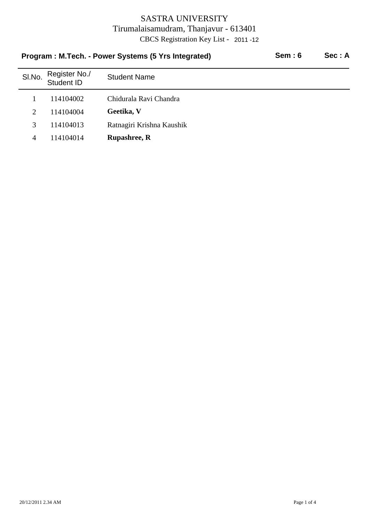| Program: M.Tech. - Power Systems (5 Yrs Integrated) |                             |                           | Sem:6 | Sec: A |
|-----------------------------------------------------|-----------------------------|---------------------------|-------|--------|
| SI.No.                                              | Register No./<br>Student ID | <b>Student Name</b>       |       |        |
|                                                     | 114104002                   | Chidurala Ravi Chandra    |       |        |
| $\mathcal{D}_{\mathcal{L}}$                         | 114104004                   | Geetika, V                |       |        |
| 3                                                   | 114104013                   | Ratnagiri Krishna Kaushik |       |        |
| 4                                                   | 114104014                   | <b>Rupashree, R</b>       |       |        |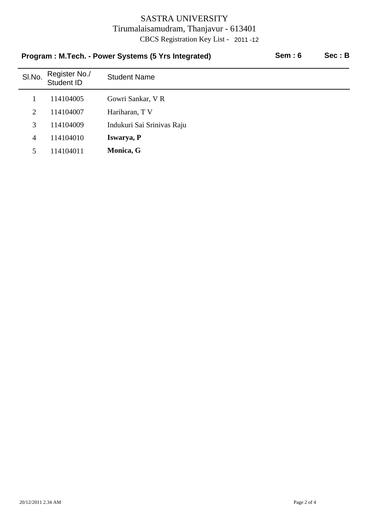| Program: M.Tech. - Power Systems (5 Yrs Integrated) |                             |                            | Sem:6 | Sec: B |
|-----------------------------------------------------|-----------------------------|----------------------------|-------|--------|
| SI.No.                                              | Register No./<br>Student ID | <b>Student Name</b>        |       |        |
|                                                     | 114104005                   | Gowri Sankar, V R          |       |        |
| $\overline{2}$                                      | 114104007                   | Hariharan, T V             |       |        |
| 3                                                   | 114104009                   | Indukuri Sai Srinivas Raju |       |        |
| $\overline{4}$                                      | 114104010                   | Iswarya, P                 |       |        |
| 5.                                                  | 114104011                   | Monica, G                  |       |        |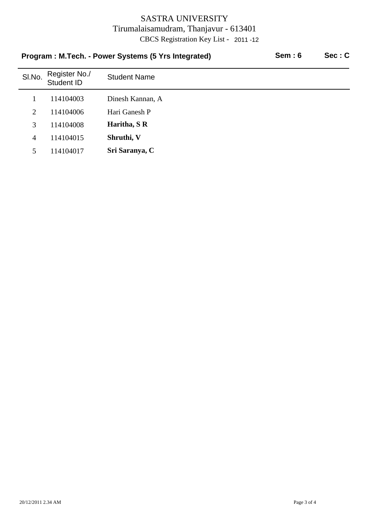| Program: M.Tech. - Power Systems (5 Yrs Integrated) |                             |                     | Sem:6 | Sec: C |
|-----------------------------------------------------|-----------------------------|---------------------|-------|--------|
| SI.No.                                              | Register No./<br>Student ID | <b>Student Name</b> |       |        |
|                                                     | 114104003                   | Dinesh Kannan, A    |       |        |
| 2                                                   | 114104006                   | Hari Ganesh P       |       |        |
| 3                                                   | 114104008                   | Haritha, S R        |       |        |
| 4                                                   | 114104015                   | Shruthi, V          |       |        |
| 5                                                   | 114104017                   | Sri Saranya, C      |       |        |